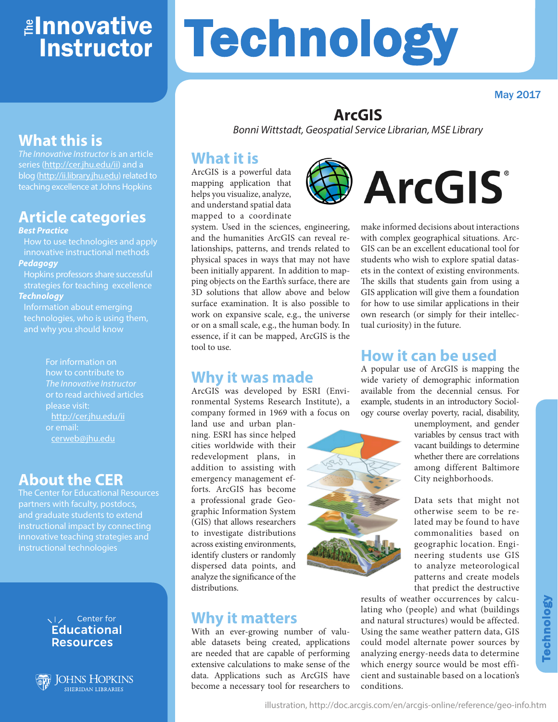# ≇l<mark>nnovative</mark> Instructor

#### May 2017

### **ArcGIS**

**Technology** 

*Bonni Wittstadt, Geospatial Service Librarian, MSE Library*

### **What it is**

ArcGIS is a powerful data mapping application that helps you visualize, analyze, and understand spatial data mapped to a coordinate

system. Used in the sciences, engineering, and the humanities ArcGIS can reveal relationships, patterns, and trends related to physical spaces in ways that may not have been initially apparent. In addition to mapping objects on the Earth's surface, there are 3D solutions that allow above and below surface examination. It is also possible to work on expansive scale, e.g., the universe or on a small scale, e.g., the human body. In essence, if it can be mapped, ArcGIS is the tool to use.

### **Why it was made**

ArcGIS was developed by ESRI (Environmental Systems Research Institute), a company formed in 1969 with a focus on

land use and urban planning. ESRI has since helped cities worldwide with their redevelopment plans, in addition to assisting with emergency management efforts. ArcGIS has become a professional grade Geographic Information System (GIS) that allows researchers to investigate distributions across existing environments, identify clusters or randomly dispersed data points, and analyze the significance of the distributions.

### **Why it matters**

With an ever-growing number of valuable datasets being created, applications are needed that are capable of performing extensive calculations to make sense of the data. Applications such as ArcGIS have become a necessary tool for researchers to



make informed decisions about interactions with complex geographical situations. Arc-GIS can be an excellent educational tool for students who wish to explore spatial datasets in the context of existing environments. The skills that students gain from using a GIS application will give them a foundation for how to use similar applications in their own research (or simply for their intellectual curiosity) in the future.

### **How it can be used**

A popular use of ArcGIS is mapping the wide variety of demographic information available from the decennial census. For example, students in an introductory Sociology course overlay poverty, racial, disability,



unemployment, and gender variables by census tract with vacant buildings to determine whether there are correlations among different Baltimore City neighborhoods.

Data sets that might not otherwise seem to be related may be found to have commonalities based on geographic location. Engineering students use GIS to analyze meteorological patterns and create models that predict the destructive

results of weather occurrences by calculating who (people) and what (buildings and natural structures) would be affected. Using the same weather pattern data, GIS could model alternate power sources by analyzing energy-needs data to determine which energy source would be most efficient and sustainable based on a location's conditions.

# **What this is**

*The Innovative Instructor* is an article series (http://cer.jhu.edu/ii) and a blog (http://ii.library.jhu.edu) related to teaching excellence at Johns Hopkins

# **Article categories**

#### *Best Practice*

How to use technologies and apply innovative instructional methods *Pedagogy*

Hopkins professors share successful strategies for teaching excellence

#### *Technology*

Information about emerging technologies, who is using them, and why you should know

> For information on how to contribute to *The Innovative Instructor* or to read archived articles please visit: http://cer.jhu.edu/ii or email: cerweb@jhu.edu

### **About the CER**

The Center for Educational Resources partners with faculty, postdocs, and graduate students to extend instructional impact by connecting innovative teaching strategies and instructional technologies